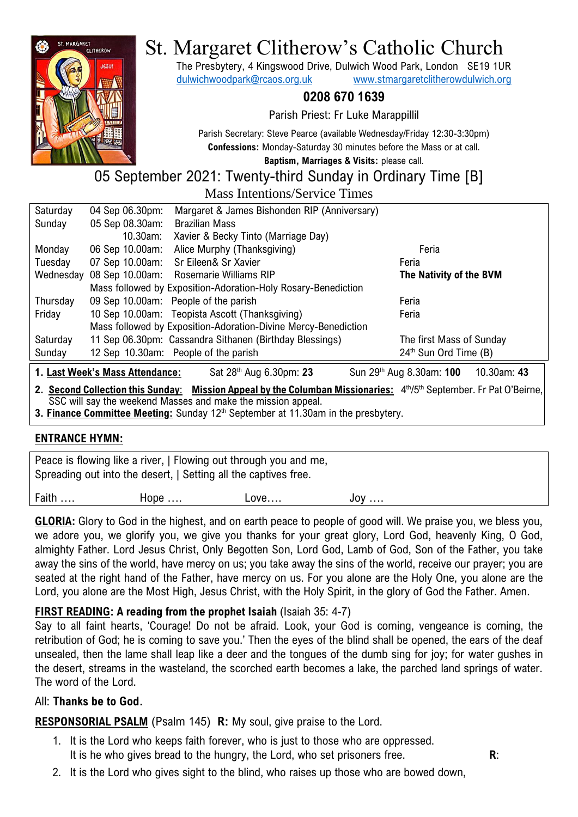

# St. Margaret Clitherow's Catholic Church

The Presbytery, 4 Kingswood Drive, Dulwich Wood Park, London SE19 1UR [dulwichwoodpark@rcaos.org.uk](mailto:dulwichwoodpark@rcaos.org.uk) [www.stmargaretclitherowdulwich.org](http://www.stmargaretclitherowdulwich.org/)

## **0208 670 1639**

Parish Priest: Fr Luke Marappillil

Parish Secretary: Steve Pearce (available Wednesday/Friday 12:30-3:30pm) **Confessions:** Monday-Saturday 30 minutes before the Mass or at call. **Baptism, Marriages & Visits:** please call.

05 September 2021: Twenty-third Sunday in Ordinary Time [B]

Mass Intentions/Service Times

| Saturday                                                                                                                                                                           | 04 Sep 06.30pm: | Margaret & James Bishonden RIP (Anniversary)                   |                          |  |  |  |
|------------------------------------------------------------------------------------------------------------------------------------------------------------------------------------|-----------------|----------------------------------------------------------------|--------------------------|--|--|--|
| Sunday                                                                                                                                                                             | 05 Sep 08.30am: | <b>Brazilian Mass</b>                                          |                          |  |  |  |
|                                                                                                                                                                                    | 10.30am:        | Xavier & Becky Tinto (Marriage Day)                            |                          |  |  |  |
| Monday                                                                                                                                                                             | 06 Sep 10.00am: | Alice Murphy (Thanksgiving)                                    | Feria                    |  |  |  |
| Tuesday                                                                                                                                                                            | 07 Sep 10.00am: | Sr Eileen& Sr Xavier                                           | Feria                    |  |  |  |
| Wednesday                                                                                                                                                                          | 08 Sep 10.00am: | <b>Rosemarie Williams RIP</b>                                  | The Nativity of the BVM  |  |  |  |
| Mass followed by Exposition-Adoration-Holy Rosary-Benediction                                                                                                                      |                 |                                                                |                          |  |  |  |
| Thursday                                                                                                                                                                           |                 | 09 Sep 10.00am: People of the parish                           | Feria                    |  |  |  |
| Friday                                                                                                                                                                             |                 | 10 Sep 10.00am: Teopista Ascott (Thanksgiving)                 | Feria                    |  |  |  |
|                                                                                                                                                                                    |                 | Mass followed by Exposition-Adoration-Divine Mercy-Benediction |                          |  |  |  |
| Saturday                                                                                                                                                                           |                 | 11 Sep 06.30pm: Cassandra Sithanen (Birthday Blessings)        | The first Mass of Sunday |  |  |  |
| Sunday                                                                                                                                                                             |                 | 12 Sep 10.30am: People of the parish                           | 24th Sun Ord Time (B)    |  |  |  |
| 1. Last Week's Mass Attendance:<br>Sun 29 <sup>th</sup> Aug 8.30am: 100<br>Sat 28 <sup>th</sup> Aug 6.30pm: 23<br>10.30am: 43                                                      |                 |                                                                |                          |  |  |  |
| 2. Second Collection this Sunday: Mission Appeal by the Columban Missionaries: 4th/5th September. Fr Pat O'Beirne,<br>SSC will say the weekend Masses and make the mission appeal. |                 |                                                                |                          |  |  |  |

**3. Finance Committee Meeting:** Sunday 12<sup>th</sup> September at 11.30am in the presbytery.

#### **ENTRANCE HYMN:**

| Peace is flowing like a river, I Flowing out through you and me,<br>Spreading out into the desert, I Setting all the captives free. |               |        |       |  |  |  |  |
|-------------------------------------------------------------------------------------------------------------------------------------|---------------|--------|-------|--|--|--|--|
| Faith                                                                                                                               | Hope $\ldots$ | Love…. | $JOV$ |  |  |  |  |

**GLORIA:** Glory to God in the highest, and on earth peace to people of good will. We praise you, we bless you, we adore you, we glorify you, we give you thanks for your great glory, Lord God, heavenly King, O God, almighty Father. Lord Jesus Christ, Only Begotten Son, Lord God, Lamb of God, Son of the Father, you take away the sins of the world, have mercy on us; you take away the sins of the world, receive our prayer; you are seated at the right hand of the Father, have mercy on us. For you alone are the Holy One, you alone are the Lord, you alone are the Most High, Jesus Christ, with the Holy Spirit, in the glory of God the Father. Amen.

# **FIRST READING: A reading from the prophet Isaiah** (Isaiah 35: 4-7)

Say to all faint hearts, 'Courage! Do not be afraid. Look, your God is coming, vengeance is coming, the retribution of God; he is coming to save you.' Then the eyes of the blind shall be opened, the ears of the deaf unsealed, then the lame shall leap like a deer and the tongues of the dumb sing for joy; for water gushes in the desert, streams in the wasteland, the scorched earth becomes a lake, the parched land springs of water. The word of the Lord.

#### All: **Thanks be to God.**

**RESPONSORIAL PSALM** (Psalm 145) **R:** My soul, give praise to the Lord.

- 1. It is the Lord who keeps faith forever, who is just to those who are oppressed. It is he who gives bread to the hungry, the Lord, who set prisoners free. **R**:
- 2. It is the Lord who gives sight to the blind, who raises up those who are bowed down,